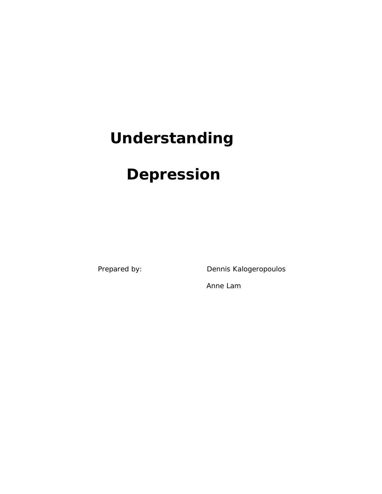# **Understanding**

## **Depression**

Prepared by: Dennis Kalogeropoulos

Anne Lam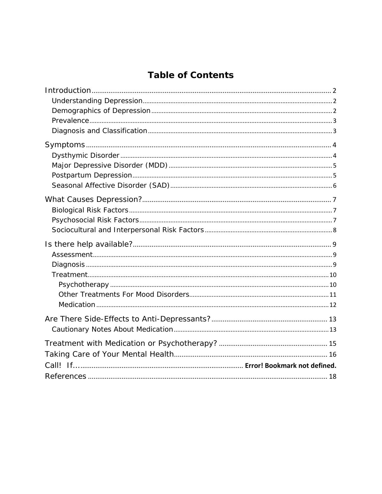## **Table of Contents**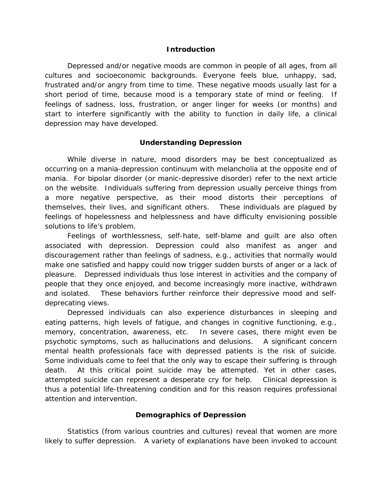#### **Introduction**

Depressed and/or negative moods are common in people of all ages, from all cultures and socioeconomic backgrounds. Everyone feels blue, unhappy, sad, frustrated and/or angry from time to time. These negative moods usually last for a short period of time, because mood is a temporary state of mind or feeling. If feelings of sadness, loss, frustration, or anger linger for weeks (or months) and start to interfere significantly with the ability to function in daily life, a clinical depression may have developed.

### **Understanding Depression**

While diverse in nature, mood disorders may be best conceptualized as occurring on a mania-depression continuum with melancholia at the opposite end of mania. For bipolar disorder (or manic-depressive disorder) refer to the next article on the website. Individuals suffering from depression usually perceive things from a more negative perspective, as their mood distorts their perceptions of themselves, their lives, and significant others. These individuals are plagued by feelings of hopelessness and helplessness and have difficulty envisioning possible solutions to life's problem.

Feelings of worthlessness, self-hate, self-blame and guilt are also often associated with depression. Depression could also manifest as anger and discouragement rather than feelings of sadness, e.g., activities that normally would make one satisfied and happy could now trigger sudden bursts of anger or a lack of pleasure. Depressed individuals thus lose interest in activities and the company of people that they once enjoyed, and become increasingly more inactive, withdrawn and isolated. These behaviors further reinforce their depressive mood and selfdeprecating views.

Depressed individuals can also experience disturbances in sleeping and eating patterns, high levels of fatigue, and changes in cognitive functioning, e.g., memory, concentration, awareness, etc. In severe cases, there might even be psychotic symptoms, such as hallucinations and delusions. A significant concern mental health professionals face with depressed patients is the risk of suicide. Some individuals come to feel that the only way to escape their suffering is through death. At this critical point suicide may be attempted. Yet in other cases, attempted suicide can represent a desperate cry for help. Clinical depression is thus a potential life-threatening condition and for this reason requires professional attention and intervention.

#### **Demographics of Depression**

Statistics (from various countries and cultures) reveal that women are more likely to suffer depression. A variety of explanations have been invoked to account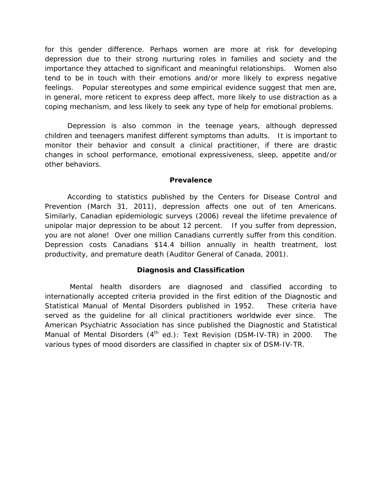for this gender difference. Perhaps women are more at risk for developing depression due to their strong nurturing roles in families and society and the importance they attached to significant and meaningful relationships. Women also tend to be in touch with their emotions and/or more likely to express negative feelings. Popular stereotypes and some empirical evidence suggest that men are, in general, more reticent to express deep affect, more likely to use distraction as a coping mechanism, and less likely to seek any type of help for emotional problems.

Depression is also common in the teenage years, although depressed children and teenagers manifest different symptoms than adults. It is important to monitor their behavior and consult a clinical practitioner, if there are drastic changes in school performance, emotional expressiveness, sleep, appetite and/or other behaviors.

#### **Prevalence**

According to statistics published by the Centers for Disease Control and Prevention (March 31, 2011), depression affects one out of ten Americans. Similarly, Canadian epidemiologic surveys (2006) reveal the lifetime prevalence of unipolar major depression to be about 12 percent. If you suffer from depression, you are not alone! Over one million Canadians currently suffer from this condition. Depression costs Canadians \$14.4 billion annually in health treatment, lost productivity, and premature death (Auditor General of Canada, 2001).

#### **Diagnosis and Classification**

Mental health disorders are diagnosed and classified according to internationally accepted criteria provided in the first edition of the Diagnostic and Statistical Manual of Mental Disorders published in 1952. These criteria have served as the guideline for all clinical practitioners worldwide ever since. The American Psychiatric Association has since published the *Diagnostic and Statistical Manual of Mental Disorders (4<sup>th</sup> ed.): Text Revision (DSM-IV-TR) in 2000.* The various types of mood disorders are classified in chapter six of DSM-IV-TR.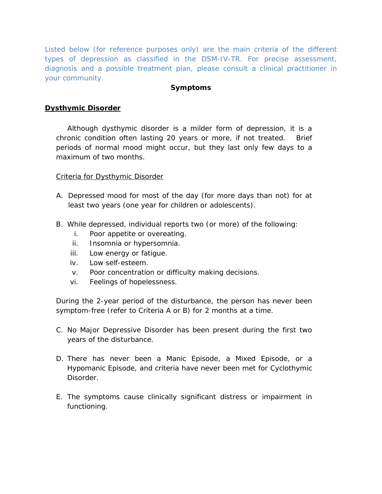*Listed below (for reference purposes only) are the main criteria of the different types of depression as classified in the DSM-IV-TR. For precise assessment, diagnosis and a possible treatment plan, please consult a clinical practitioner in your community.*

## **Symptoms**

## **Dysthymic Disorder**

Although dysthymic disorder is a milder form of depression, it is a chronic condition often lasting 20 years or more, if not treated. Brief periods of normal mood might occur, but they last only few days to a maximum of two months.

### Criteria for Dysthymic Disorder

- A. Depressed mood for most of the day (for more days than not) for at least two years (one year for children or adolescents).
- B. While depressed, individual reports two (or more) of the following:
	- i. Poor appetite or overeating.
	- ii. Insomnia or hypersomnia.
	- iii. Low energy or fatigue.
	- iv. Low self-esteem.
	- v. Poor concentration or difficulty making decisions.
	- vi. Feelings of hopelessness.

During the 2-year period of the disturbance, the person has never been symptom-free (refer to Criteria A or B) for 2 months at a time.

- C. No Major Depressive Disorder has been present during the first two years of the disturbance.
- D. There has never been a Manic Episode, a Mixed Episode, or a Hypomanic Episode, and criteria have never been met for Cyclothymic Disorder.
- E. The symptoms cause clinically significant distress or impairment in functioning.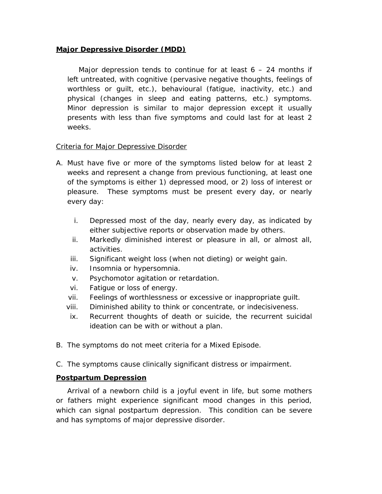### **Major Depressive Disorder (MDD)**

Major depression tends to continue for at least  $6 - 24$  months if left untreated, with cognitive (pervasive negative thoughts, feelings of worthless or guilt, etc.), behavioural (fatigue, inactivity, etc.) and physical (changes in sleep and eating patterns, etc.) symptoms. Minor depression is similar to major depression except it usually presents with *less* than five symptoms and could last for at least 2 weeks.

### Criteria for Major Depressive Disorder

- A. Must have five or more of the symptoms listed below for at least 2 weeks and represent a change from previous functioning, at least one of the symptoms is either 1) depressed mood, or 2) loss of interest or pleasure. These symptoms must be present every day, or nearly every day:
	- i. Depressed most of the day, nearly every day, as indicated by either subjective reports or observation made by others.
	- ii. Markedly diminished interest or pleasure in all, or almost all, activities.
	- iii. Significant weight loss (when not dieting) or weight gain.
	- iv. Insomnia or hypersomnia.
	- v. Psychomotor agitation or retardation.
	- vi. Fatigue or loss of energy.
	- vii. Feelings of worthlessness or excessive or inappropriate guilt.
	- viii. Diminished ability to think or concentrate, or indecisiveness.
	- ix. Recurrent thoughts of death or suicide, the recurrent suicidal ideation can be with or without a plan.
- B. The symptoms do not meet criteria for a Mixed Episode.
- C. The symptoms cause clinically significant distress or impairment.

## **Postpartum Depression**

Arrival of a newborn child is a joyful event in life, but some mothers or fathers might experience significant mood changes in this period, which can signal postpartum depression. This condition can be severe and has symptoms of major depressive disorder.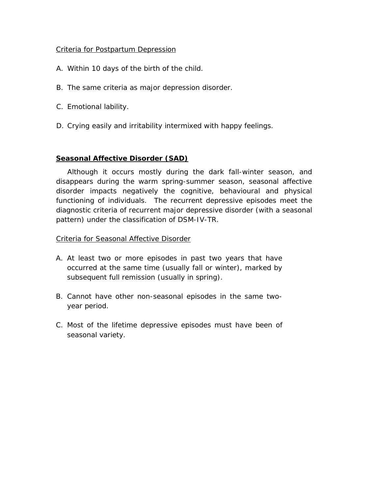## Criteria for Postpartum Depression

- A. Within 10 days of the birth of the child.
- B. The same criteria as major depression disorder.
- C. Emotional lability.
- D. Crying easily and irritability intermixed with happy feelings.

## **Seasonal Affective Disorder (SAD)**

Although it occurs mostly during the dark fall-winter season, and disappears during the warm spring-summer season, seasonal affective disorder impacts negatively the cognitive, behavioural and physical functioning of individuals. The recurrent depressive episodes meet the diagnostic criteria of recurrent major depressive disorder (with a seasonal pattern) under the classification of DSM-IV-TR.

### Criteria for Seasonal Affective Disorder

- A. At least two or more episodes in past two years that have occurred at the same time (usually fall or winter), marked by subsequent full remission (usually in spring).
- B. Cannot have other non-seasonal episodes in the same twoyear period.
- C. Most of the lifetime depressive episodes must have been of seasonal variety.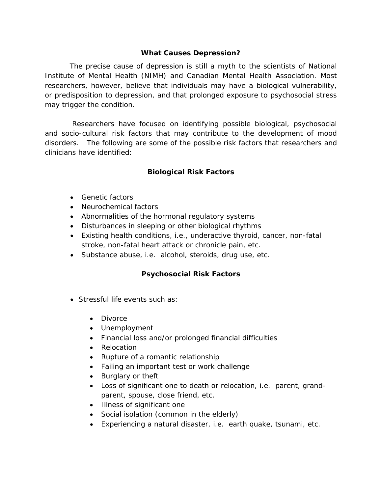## **What Causes Depression?**

The precise cause of depression is still a myth to the scientists of National Institute of Mental Health (NIMH) and Canadian Mental Health Association. Most researchers, however, believe that individuals may have a biological vulnerability, or predisposition to depression, and that prolonged exposure to psychosocial stress may trigger the condition.

Researchers have focused on identifying possible biological, psychosocial and socio-cultural risk factors that may contribute to the development of mood disorders. The following are some of the possible risk factors that researchers and clinicians have identified:

## **Biological Risk Factors**

- Genetic factors
- Neurochemical factors
- Abnormalities of the hormonal regulatory systems
- Disturbances in sleeping or other biological rhythms
- Existing health conditions, i.e., underactive thyroid, cancer, non-fatal stroke, non-fatal heart attack or chronicle pain, etc.
- Substance abuse, i.e. alcohol, steroids, drug use, etc.

## **Psychosocial Risk Factors**

- Stressful life events such as:
	- Divorce
	- Unemployment
	- Financial loss and/or prolonged financial difficulties
	- Relocation
	- Rupture of a romantic relationship
	- Failing an important test or work challenge
	- Burglary or theft
	- Loss of significant one to death or relocation, i.e. parent, grandparent, spouse, close friend, etc.
	- Illness of significant one
	- Social isolation (common in the elderly)
	- Experiencing a natural disaster, i.e. earth quake, tsunami, etc.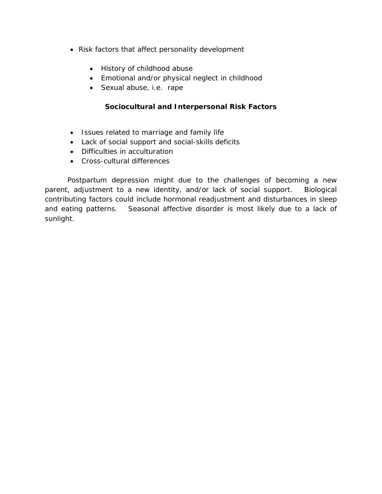- Risk factors that affect personality development
	- History of childhood abuse
	- Emotional and/or physical neglect in childhood
	- Sexual abuse, i.e. rape

## **Sociocultural and Interpersonal Risk Factors**

- Issues related to marriage and family life
- Lack of social support and social-skills deficits
- Difficulties in acculturation
- Cross-cultural differences

Postpartum depression might due to the challenges of becoming a new parent, adjustment to a new identity, and/or lack of social support. Biological contributing factors could include hormonal readjustment and disturbances in sleep and eating patterns. Seasonal affective disorder is most likely due to a lack of sunlight.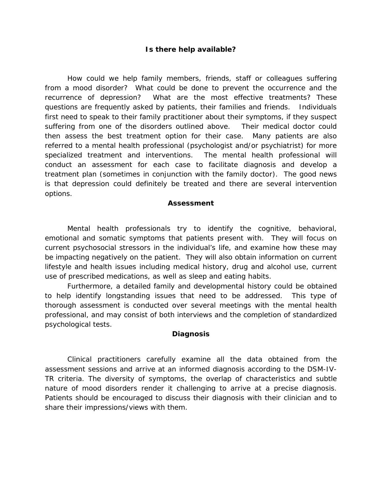#### **Is there help available?**

How could we help family members, friends, staff or colleagues suffering from a mood disorder? What could be done to prevent the occurrence and the recurrence of depression? What are the most effective treatments? These questions are frequently asked by patients, their families and friends. Individuals first need to speak to their family practitioner about their symptoms, if they suspect suffering from one of the disorders outlined above. Their medical doctor could then assess the best treatment option for their case. Many patients are also referred to a mental health professional (psychologist and/or psychiatrist) for more specialized treatment and interventions. The mental health professional will conduct an assessment for each case to facilitate diagnosis and develop a treatment plan (sometimes in conjunction with the family doctor). The good news is that depression could definitely be treated and there are several intervention options.

#### **Assessment**

Mental health professionals try to identify the cognitive, behavioral, emotional and somatic symptoms that patients present with. They will focus on current psychosocial stressors in the individual's life, and examine how these may be impacting negatively on the patient. They will also obtain information on current lifestyle and health issues including medical history, drug and alcohol use, current use of prescribed medications, as well as sleep and eating habits.

Furthermore, a detailed family and developmental history could be obtained to help identify longstanding issues that need to be addressed. This type of thorough assessment is conducted over several meetings with the mental health professional, and may consist of both interviews and the completion of standardized psychological tests.

#### **Diagnosis**

Clinical practitioners carefully examine all the data obtained from the assessment sessions and arrive at an informed diagnosis according to the DSM-IV-TR criteria. The diversity of symptoms, the overlap of characteristics and subtle nature of mood disorders render it challenging to arrive at a precise diagnosis. Patients should be encouraged to discuss their diagnosis with their clinician and to share their impressions/views with them.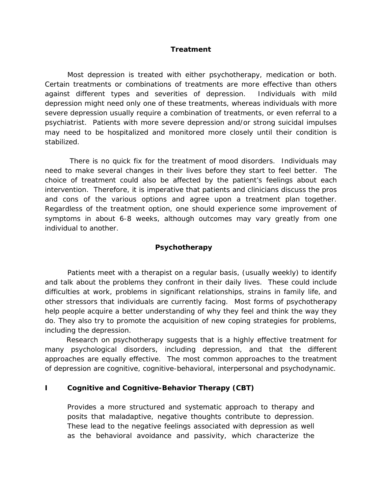#### **Treatment**

Most depression is treated with either psychotherapy, medication or both. Certain treatments or combinations of treatments are more effective than others against different types and severities of depression. Individuals with mild depression might need only one of these treatments, whereas individuals with more severe depression usually require a combination of treatments, or even referral to a psychiatrist. Patients with more severe depression and/or strong suicidal impulses may need to be hospitalized and monitored more closely until their condition is stabilized.

There is no quick fix for the treatment of mood disorders. Individuals may need to make several changes in their lives before they start to feel better. The choice of treatment could also be affected by the patient's feelings about each intervention. Therefore, it is imperative that patients and clinicians discuss the pros and cons of the various options and agree upon a treatment plan together. Regardless of the treatment option, one should experience some improvement of symptoms in about 6-8 weeks, although outcomes may vary greatly from one individual to another.

#### **Psychotherapy**

Patients meet with a therapist on a regular basis, (usually weekly) to identify and talk about the problems they confront in their daily lives. These could include difficulties at work, problems in significant relationships, strains in family life, and other stressors that individuals are currently facing. Most forms of psychotherapy help people acquire a better understanding of why they feel and think the way they do. They also try to promote the acquisition of new coping strategies for problems, including the depression.

 Research on psychotherapy suggests that is a highly effective treatment for many psychological disorders, including depression, and that the different approaches are equally effective. The most common approaches to the treatment of depression are cognitive, cognitive-behavioral, interpersonal and psychodynamic.

#### **I Cognitive and Cognitive-Behavior Therapy (CBT)**

Provides a more structured and systematic approach to therapy and posits that maladaptive, negative thoughts contribute to depression. These lead to the negative feelings associated with depression as well as the behavioral avoidance and passivity, which characterize the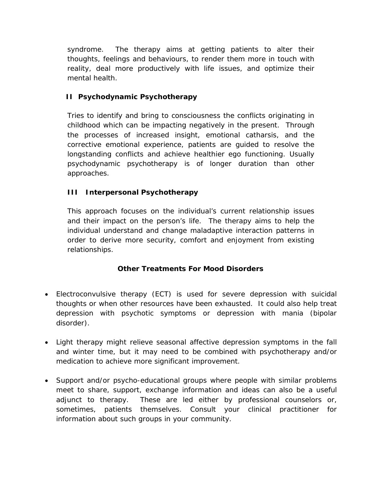syndrome. The therapy aims at getting patients to alter their thoughts, feelings and behaviours, to render them more in touch with reality, deal more productively with life issues, and optimize their mental health.

## **II Psychodynamic Psychotherapy**

Tries to identify and bring to consciousness the conflicts originating in childhood which can be impacting negatively in the present. Through the processes of increased insight, emotional catharsis, and the corrective emotional experience, patients are guided to resolve the longstanding conflicts and achieve healthier ego functioning. Usually psychodynamic psychotherapy is of longer duration than other approaches.

## **III Interpersonal Psychotherapy**

This approach focuses on the individual's current relationship issues and their impact on the person's life. The therapy aims to help the individual understand and change maladaptive interaction patterns in order to derive more security, comfort and enjoyment from existing relationships.

## **Other Treatments For Mood Disorders**

- Electroconvulsive therapy (ECT) is used for severe depression with suicidal thoughts or when other resources have been exhausted. It could also help treat depression with psychotic symptoms or depression with mania (bipolar disorder).
- Light therapy might relieve seasonal affective depression symptoms in the fall and winter time, but it may need to be combined with psychotherapy and/or medication to achieve more significant improvement.
- Support and/or psycho-educational groups where people with similar problems meet to share, support, exchange information and ideas can also be a useful adjunct to therapy. These are led either by professional counselors or, sometimes, patients themselves. Consult your clinical practitioner for information about such groups in your community.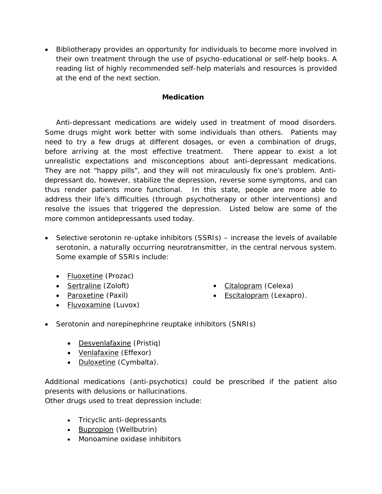• Bibliotherapy provides an opportunity for individuals to become more involved in their own treatment through the use of psycho-educational or self-help books. A reading list of highly recommended self-help materials and resources is provided at the end of the next section.

## **Medication**

Anti-depressant medications are widely used in treatment of mood disorders. Some drugs might work better with some individuals than others. Patients may need to try a few drugs at different dosages, or even a combination of drugs, before arriving at the most effective treatment. There appear to exist a lot unrealistic expectations and misconceptions about anti-depressant medications. They are not "happy pills", and they will not miraculously fix one's problem. Antidepressant do, however, stabilize the depression, reverse some symptoms, and can thus render patients more functional. In this state, people are more able to address their life's difficulties (through psychotherapy or other interventions) and resolve the issues that triggered the depression. Listed below are some of the more common antidepressants used today.

- Selective serotonin re-uptake inhibitors (SSRIs) increase the levels of available serotonin, a naturally occurring neurotransmitter, in the central nervous system. Some example of SSRIs include:
	- Fluoxetine (Prozac)
	- Sertraline (Zoloft)
	- Paroxetine (Paxil)
	- Fluvoxamine (Luvox)
- Citalopram (Celexa)
- Escitalopram (Lexapro).
- Serotonin and norepinephrine reuptake inhibitors (SNRIs)
	- Desvenlafaxine (Pristiq)
	- Venlafaxine (Effexor)
	- Duloxetine (Cymbalta).

Additional medications (anti-psychotics) could be prescribed if the patient also presents with delusions or hallucinations.

Other drugs used to treat depression include:

- Tricyclic anti-depressants
- Bupropion (Wellbutrin)
- Monoamine oxidase inhibitors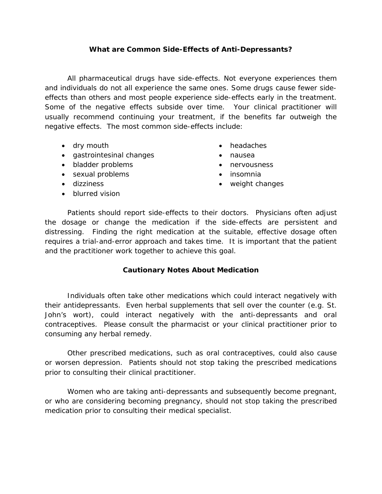## **What are Common Side-Effects of Anti-Depressants?**

All pharmaceutical drugs have side-effects. Not everyone experiences them and individuals do not all experience the same ones. Some drugs cause fewer sideeffects than others and most people experience side-effects early in the treatment. Some of the negative effects subside over time. Your clinical practitioner will usually recommend continuing your treatment, if the benefits far outweigh the negative effects. The most common side-effects include:

- dry mouth
- gastrointesinal changes
- bladder problems
- sexual problems
- dizziness
- blurred vision
- headaches
- nausea
- nervousness
- insomnia
- weight changes

Patients should report side-effects to their doctors. Physicians often adjust the dosage or change the medication if the side-effects are persistent and distressing. Finding the right medication at the suitable, effective dosage often requires a trial-and-error approach and takes time. It is important that the patient and the practitioner work together to achieve this goal.

#### **Cautionary Notes About Medication**

Individuals often take other medications which could interact negatively with their antidepressants. Even herbal supplements that sell over the counter (e.g. St. John's wort), could interact negatively with the anti-depressants and oral contraceptives. Please consult the pharmacist or your clinical practitioner prior to consuming any herbal remedy.

Other prescribed medications, such as oral contraceptives, could also cause or worsen depression. Patients should not stop taking the prescribed medications prior to consulting their clinical practitioner.

Women who are taking anti-depressants and subsequently become pregnant, or who are considering becoming pregnancy, should not stop taking the prescribed medication prior to consulting their medical specialist.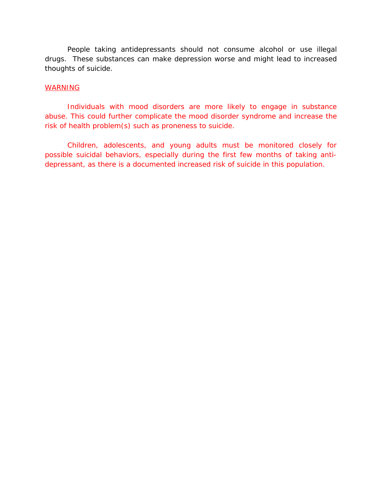People taking antidepressants should not consume alcohol or use illegal drugs. These substances can make depression worse and might lead to increased thoughts of suicide.

#### WARNING

Individuals with mood disorders are more likely to engage in substance abuse. This could further complicate the mood disorder syndrome and increase the risk of health problem(s) such as proneness to suicide.

Children, adolescents, and young adults must be monitored closely for possible suicidal behaviors, especially during the first few months of taking antidepressant, as there is a documented increased risk of suicide in this population.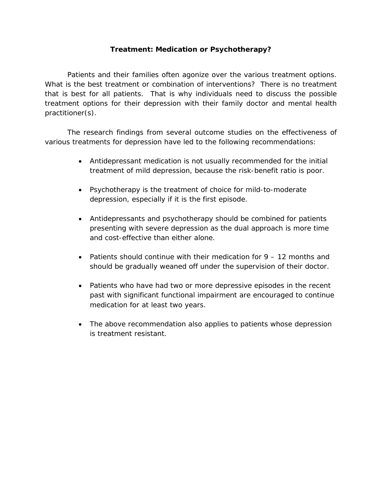## **Treatment: Medication or Psychotherapy?**

Patients and their families often agonize over the various treatment options. What is the best treatment or combination of interventions? There is no treatment that is best for all patients. That is why individuals need to discuss the possible treatment options for their depression with their family doctor and mental health practitioner(s).

The research findings from several outcome studies on the effectiveness of various treatments for depression have led to the following recommendations:

- Antidepressant medication is not usually recommended for the initial treatment of mild depression, because the risk-benefit ratio is poor.
- Psychotherapy is the treatment of choice for mild-to-moderate depression, especially if it is the first episode.
- Antidepressants and psychotherapy should be combined for patients presenting with severe depression as the dual approach is more time and cost-effective than either alone.
- Patients should continue with their medication for  $9 12$  months and should be gradually weaned off under the supervision of their doctor.
- Patients who have had two or more depressive episodes in the recent past with significant functional impairment are encouraged to continue medication for at least two years.
- The above recommendation also applies to patients whose depression is treatment resistant.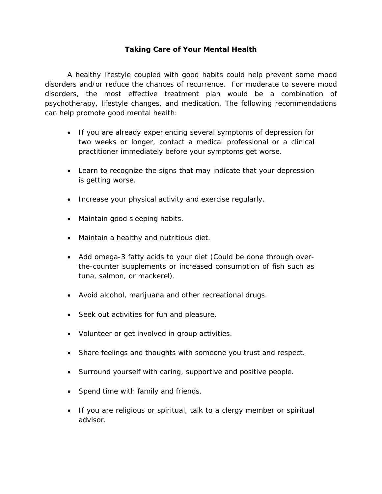## **Taking Care of Your Mental Health**

A healthy lifestyle coupled with good habits could help prevent some mood disorders and/or reduce the chances of recurrence. For moderate to severe mood disorders, the most effective treatment plan would be a combination of psychotherapy, lifestyle changes, and medication. The following recommendations can help promote good mental health:

- If you are already experiencing several symptoms of depression for two weeks or longer, contact a medical professional or a clinical practitioner immediately before your symptoms get worse.
- Learn to recognize the signs that may indicate that your depression is getting worse.
- Increase your physical activity and exercise regularly.
- Maintain good sleeping habits.
- Maintain a healthy and nutritious diet.
- Add omega-3 fatty acids to your diet (Could be done through overthe-counter supplements or increased consumption of fish such as tuna, salmon, or mackerel).
- Avoid alcohol, marijuana and other recreational drugs.
- Seek out activities for fun and pleasure.
- Volunteer or get involved in group activities.
- Share feelings and thoughts with someone you trust and respect.
- Surround yourself with caring, supportive and positive people.
- Spend time with family and friends.
- If you are religious or spiritual, talk to a clergy member or spiritual advisor.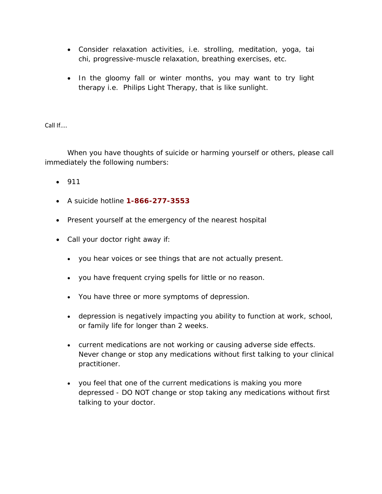- Consider relaxation activities, i.e. strolling, meditation, yoga, tai chi, progressive-muscle relaxation, breathing exercises, etc.
- In the gloomy fall or winter months, you may want to try light therapy i.e. Philips Light Therapy, that is like sunlight.

Call If....

When you have thoughts of suicide or harming yourself or others, please call immediately the following numbers:

- 911
- A suicide hotline **1-866-277-3553**
- Present yourself at the emergency of the nearest hospital
- Call your doctor right away if:
	- you hear voices or see things that are not actually present.
	- you have frequent crying spells for little or no reason.
	- You have three or more symptoms of depression.
	- depression is negatively impacting you ability to function at work, school, or family life for longer than 2 weeks.
	- current medications are not working or causing adverse side effects. Never change or stop any medications without first talking to your clinical practitioner.
	- you feel that one of the current medications is making you more depressed - DO NOT change or stop taking any medications without first talking to your doctor.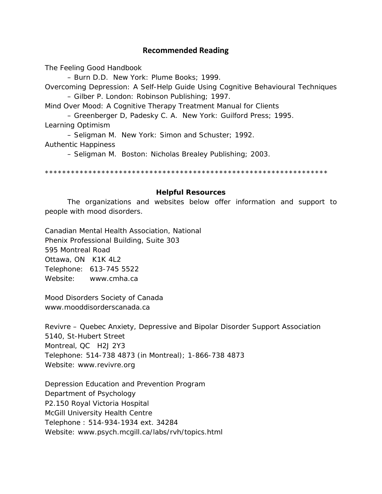## **Recommended Reading**

The Feeling Good Handbook

– Burn D.D. New York: Plume Books; 1999. Overcoming Depression: A Self-Help Guide Using Cognitive Behavioural Techniques – Gilber P. London: Robinson Publishing; 1997.

Mind Over Mood: A Cognitive Therapy Treatment Manual for Clients

– Greenberger D, Padesky C. A. New York: Guilford Press; 1995.

Learning Optimism

– Seligman M. New York: Simon and Schuster; 1992.

Authentic Happiness

– Seligman M. Boston: Nicholas Brealey Publishing; 2003.

\*\*\*\*\*\*\*\*\*\*\*\*\*\*\*\*\*\*\*\*\*\*\*\*\*\*\*\*\*\*\*\*\*\*\*\*\*\*\*\*\*\*\*\*\*\*\*\*\*\*\*\*\*\*\*\*\*\*\*\*\*\*\*\*\*

#### **Helpful Resources**

The organizations and websites below offer information and support to people with mood disorders.

Canadian Mental Health Association, National Phenix Professional Building, Suite 303 595 Montreal Road Ottawa, ON K1K 4L2 Telephone: 613-745 5522 Website: www.cmha.ca

Mood Disorders Society of Canada www.mooddisorderscanada.ca

Revivre – Quebec Anxiety, Depressive and Bipolar Disorder Support Association 5140, St-Hubert Street Montreal, QC H2J 2Y3 Telephone: 514-738 4873 (in Montreal); 1-866-738 4873 Website: www.revivre.org

Depression Education and Prevention Program Department of Psychology P2.150 Royal Victoria Hospital McGill University Health Centre Telephone : 514-934-1934 ext. 34284 Website: www.psych.mcgill.ca/labs/rvh/topics.html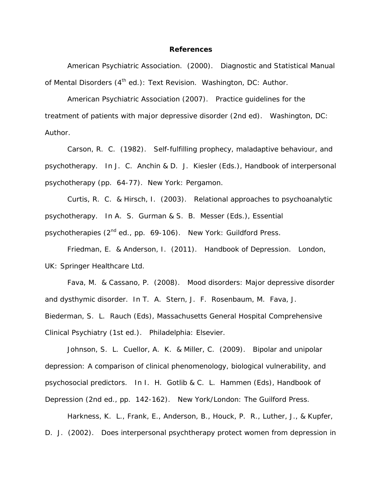#### **References**

American Psychiatric Association. (2000). *Diagnostic and Statistical Manual of Mental Disorders (4th ed.): Text Revision.* Washington, DC: Author.

American Psychiatric Association (2007). *Practice guidelines for the treatment of patients with major depressive disorder* (2nd ed). Washington, DC: Author.

Carson, R. C. (1982). Self-fulfilling prophecy, maladaptive behaviour, and psychotherapy. In J. C. Anchin & D. J. Kiesler (Eds.), *Handbook of interpersonal psychotherapy* (pp. 64-77). New York: Pergamon.

Curtis, R. C. & Hirsch, I. (2003). Relational approaches to psychoanalytic psychotherapy. In A. S. Gurman & S. B. Messer (Eds.), *Essential psychotherapies* (2nd ed., pp. 69-106). New York: Guildford Press.

Friedman, E. & Anderson, I. (2011). *Handbook of Depression*. London, UK: Springer Healthcare Ltd.

Fava, M. & Cassano, P. (2008). Mood disorders: Major depressive disorder and dysthymic disorder. In T. A. Stern, J. F. Rosenbaum, M. Fava, J. Biederman, S. L. Rauch (Eds), *Massachusetts General Hospital Comprehensive Clinical Psychiatry* (1st ed.). Philadelphia: Elsevier.

Johnson, S. L. Cuellor, A. K. & Miller, C. (2009). Bipolar and unipolar depression: A comparison of clinical phenomenology, biological vulnerability, and psychosocial predictors. In I. H. Gotlib & C. L. Hammen (Eds), *Handbook of Depression* (2nd ed., pp. 142-162). New York/London: The Guilford Press.

Harkness, K. L., Frank, E., Anderson, B., Houck, P. R., Luther, J., & Kupfer, D. J. (2002). Does interpersonal psychtherapy protect women from depression in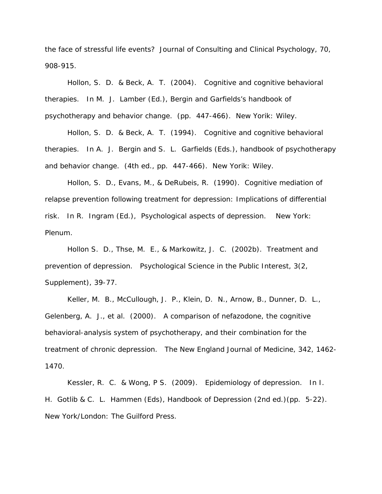the face of stressful life events? *Journal of Consulting and Clinical Psychology, 70,*  908-915.

Hollon, S. D. & Beck, A. T. (2004). Cognitive and cognitive behavioral therapies. In M. J. Lamber (Ed.), *Bergin and Garfields's handbook of psychotherapy and behavior change.* (pp. 447-466). New Yorik: Wiley.

Hollon, S. D. & Beck, A. T. (1994). Cognitive and cognitive behavioral therapies. In A. J. Bergin and S. L. Garfields (Eds.)*, handbook of psychotherapy and behavior change.* (4th ed., pp. 447-466). New Yorik: Wiley.

Hollon, S. D., Evans, M., & DeRubeis, R. (1990). Cognitive mediation of relapse prevention following treatment for depression: Implications of differential risk. In R. Ingram (Ed.), *Psychological aspects of depression.* New York: Plenum.

Hollon S. D., Thse, M. E., & Markowitz, J. C. (2002b). Treatment and prevention of depression. *Psychological Science in the Public Interest, 3*(2, Supplement), 39-77.

Keller, M. B., McCullough, J. P., Klein, D. N., Arnow, B., Dunner, D. L., Gelenberg, A. J., et al. (2000). A comparison of nefazodone, the cognitive behavioral-analysis system of psychotherapy, and their combination for the treatment of chronic depression. *The New England Journal of Medicine, 342,* 1462- 1470.

Kessler, R. C. & Wong, P S. (2009). Epidemiology of depression. In I. H. Gotlib & C. L. Hammen (Eds), *Handbook of Depression* (2nd ed.)(pp. 5-22). New York/London: The Guilford Press.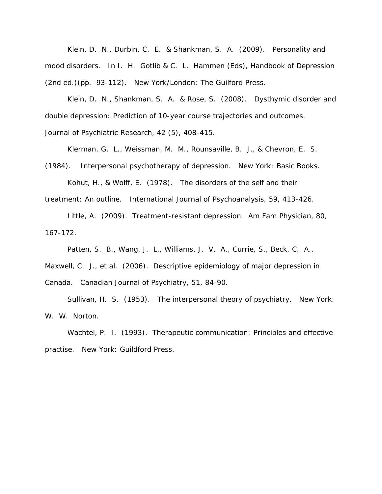Klein, D. N., Durbin, C. E. & Shankman, S. A. (2009). Personality and mood disorders. In I. H. Gotlib & C. L. Hammen (Eds), *Handbook of Depression* (2nd ed.)(pp. 93-112). New York/London: The Guilford Press.

Klein, D. N., Shankman, S. A. & Rose, S. (2008). Dysthymic disorder and double depression: Prediction of 10-year course trajectories and outcomes.

*Journal of Psychiatric Research, 42* (5), 408-415.

Klerman, G. L., Weissman, M. M., Rounsaville, B. J., & Chevron, E. S.

(1984). *Interpersonal psychotherapy of depression.* New York: Basic Books.

Kohut, H., & Wolff, E. (1978). The disorders of the self and their treatment: An outline. *International Journal of Psychoanalysis, 59*, 413-426.

Little, A. (2009). Treatment-resistant depression. *Am Fam Physician*, *80*, 167-172.

Patten, S. B., Wang, J. L., Williams, J. V. A., Currie, S., Beck, C. A.,

Maxwell, C. J., et al. (2006). Descriptive epidemiology of major depression in Canada. *Canadian Journal of Psychiatry, 51*, 84-90.

Sullivan, H. S. (1953). *The interpersonal theory of psychiatry.* New York: W. W. Norton.

Wachtel, P. I. (1993). *Therapeutic communication: Principles and effective practise.* New York: Guildford Press.